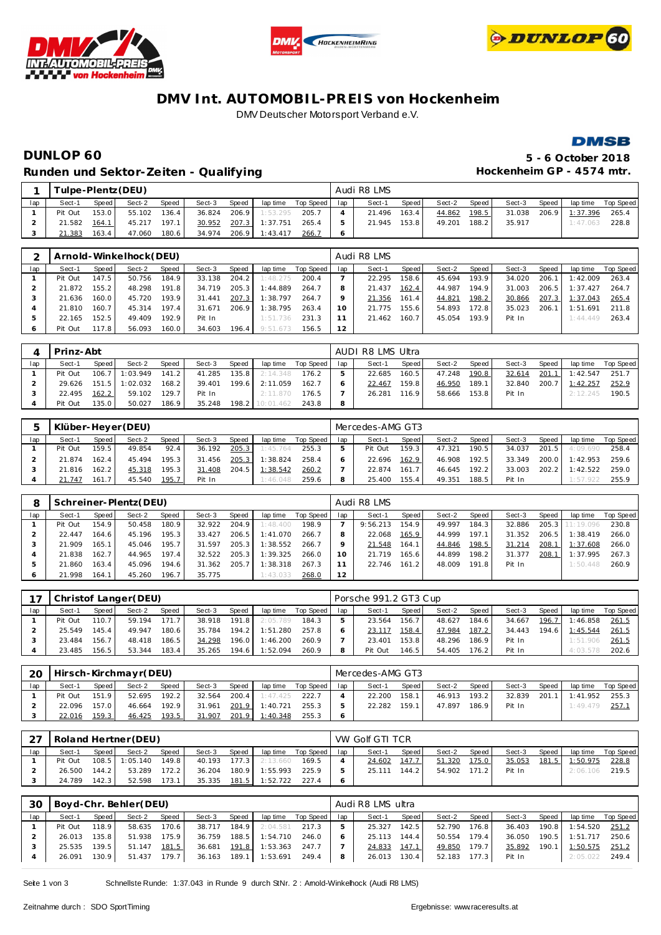





### **DMV Int. AUTOMOBIL-PREIS von Hockenheim** DMV Deutscher Motorsport Verband e.V.



# **DUNLOP 60 5 - 6 October 2018** Runden und Sektor-Zeiten - Qualifying **Matter and American Control Control Control Control Control Control Control**

|     |         | Tulpe-Plentz (DEU)<br>Speed<br>Sect-2<br>Speed I<br>Sect-3<br>Speed  <br>153.0<br>55.102<br>136.4<br>206.9<br>36.824<br>1:53.295 |        |       |        |  |                |                    |     | Audi R8 LMS |       |        |       |        |       |                |                    |
|-----|---------|----------------------------------------------------------------------------------------------------------------------------------|--------|-------|--------|--|----------------|--------------------|-----|-------------|-------|--------|-------|--------|-------|----------------|--------------------|
| lap | Sect-1  |                                                                                                                                  |        |       |        |  |                | lap time Top Speed | lap | Sect-1      | Speed | Sect-2 | Speed | Sect-3 | Speed |                | lap time Top Speed |
|     | Pit Out |                                                                                                                                  |        |       |        |  |                | 205.7              |     | 21.496      | 163.4 | 44.862 | 198.5 | 31.038 |       | 206.9 1:37.396 | 265.4              |
|     | 21.582  | 164.1                                                                                                                            | 45.217 | 197.1 | 30.952 |  | 207.3 1:37.751 | 265.4              |     | 21.945      | 153.8 | 49.201 | 188.2 | 35.917 |       | 1:47.063       | 228.8              |
|     | 21.383  | 163.4                                                                                                                            | 47.060 | 180.6 | 34.974 |  | 206.9 1:43.417 | 266.7              |     |             |       |        |       |        |       |                |                    |

|     |         |       | Arnold-Winkelhock(DEU) |       |        |       |          |           |     | Audi R8 LMS |       |        |       |        |       |          |           |
|-----|---------|-------|------------------------|-------|--------|-------|----------|-----------|-----|-------------|-------|--------|-------|--------|-------|----------|-----------|
| lap | Sect-1  | Speed | Sect-2                 | Speed | Sect-3 | Speed | lap time | Top Speed | lap | Sect-1      | Speed | Sect-2 | Speed | Sect-3 | Speed | lap time | Top Speed |
|     | Pit Out | 147.5 | 50.756                 | 184.9 | 33.138 | 204.2 | 1:48.275 | 200.4     |     | 22.295      | 158.6 | 45.694 | 193.9 | 34.020 | 206.1 | 1:42.009 | 263.4     |
|     | 21.872  | 155.2 | 48.298                 | 191.8 | 34.719 | 205.3 | 1:44.889 | 264.7     | 8   | 21.437      | 162.4 | 44.987 | 194.9 | 31.003 | 206.5 | 1:37.427 | 264.7     |
|     | 21.636  | 160.0 | 45.720                 | 193.9 | 31.441 | 207.3 | 1:38.797 | 264.7     |     | 21.356      | 161.4 | 44.821 | 198.2 | 30.866 | 207.3 | 1:37.043 | 265.4     |
|     | 21.810  | 160.7 | 45.314                 | 197.4 | 31.671 | 206.9 | 1:38.795 | 263.4     | 10  | 21.775      | 155.6 | 54.893 | 172.8 | 35.023 | 206.1 | 1:51.691 | 211.8     |
|     | 22.165  | 152.5 | 49.409                 | 192.9 | Pit In |       | 1:51.736 | 231.3     |     | 21.462      | 160.7 | 45.054 | 193.9 | Pit In |       | 1:44.449 | 263.4     |
|     | Pit Out | 117.8 | 56.093                 | 160.0 | 34.603 | 196.4 | 9:51.673 | 156.5     | 12  |             |       |        |       |        |       |          |           |

|     | Prinz-Abt |       |                  |       |        |        |           |           |     | AUDI R8 LMS Ultra |         |        |       |        |       |          |           |
|-----|-----------|-------|------------------|-------|--------|--------|-----------|-----------|-----|-------------------|---------|--------|-------|--------|-------|----------|-----------|
| lap | Sect-1    | Speed | Sect-2           | Speed | Sect-3 | Speed  | lap time  | Top Speed | lap | Sect-1            | Speed I | Sect-2 | Speed | Sect-3 | Speed | lap time | Top Speed |
|     | Pit Out   | 106.7 | : 03.949         | 141.2 | 41.285 | 135.8  | 2:14.348  | 176.2     |     | 22.685            | 160.5   | 47.248 | 190.8 | 32.614 | 201.1 | 1:42.547 | 251.7     |
|     | 29.626    |       | $151.5$ 1:02.032 | 168.2 | 39.401 | 199.6  | 2:11.059  | 162.7     |     | 22.467            | 159.8   | 46.950 | 189.1 | 32.840 | 200.7 | 1:42.257 | 252.9     |
|     | 22.495    | 162.2 | 59.102           | 129.7 | Pit In |        | 2:11.870  | 176.5     |     | 26.281            | 116.9   | 58.666 | 153.8 | Pit In |       | 2:12.245 | 190.5     |
|     | Pit Out   | 135.0 | 50.027           | 186.9 | 35.248 | 198.21 | 10:01.462 | 243.8     |     |                   |         |        |       |        |       |          |           |

|     | Klüber-Heyer (DEU) |       |        |              |        |       |          |           |     | Mercedes-AMG GT3 |        |        |       |        |        |          |           |
|-----|--------------------|-------|--------|--------------|--------|-------|----------|-----------|-----|------------------|--------|--------|-------|--------|--------|----------|-----------|
| lap | Sect-1             | Speed | Sect-2 | <b>Speed</b> | Sect-3 | Speed | lap time | Top Speed | lap | Sect-1           | Speed  | Sect-2 | Speed | Sect-3 | Speed  | lap time | Top Speed |
|     | Pit Out            | 159.5 | 49.854 | 92.4         | 36.192 | 205.3 | 1:45.764 | 255.3     |     | Pit Out          | 159.3  | 47.321 | 190.5 | 34.037 | 201.5  | 4:09.690 | 258.4     |
|     | 21.874             | 162.4 | 45.494 | 195.3        | 31.456 | 205.3 | 1:38.824 | 258.4     |     | 22.696           | 162.9  | 46.908 | 192.5 | 33.349 | 200.01 | 1:42.953 | 259.6     |
|     | 21.816             | 162.2 | 45.318 | 195.3        | 31.408 | 204.5 | 1:38.542 | 260.2     |     | 22.874           | 161.71 | 46.645 | 192.2 | 33.003 | 202.2  | :42.522  | 259.0     |
|     | 21.747             | 161.7 | 45.540 | 195.7        | Pit In |       | 1:46.048 | 259.6     | 8   | 25.400           | 155.4  | 49.351 | 188.5 | Pit In |        | 1:57.922 | 255.9     |

| 8   |         |       | Schreiner-Plentz(DEU) |        |        |       |          |           |     | Audi R8 LMS |       |        |       |        |       |           |           |
|-----|---------|-------|-----------------------|--------|--------|-------|----------|-----------|-----|-------------|-------|--------|-------|--------|-------|-----------|-----------|
| lap | Sect-1  | Speed | Sect-2                | Speed  | Sect-3 | Speed | lap time | Top Speed | lap | Sect-1      | Speed | Sect-2 | Speed | Sect-3 | Speed | lap time  | Top Speed |
|     | Pit Out | 154.9 | 50.458                | 180.9  | 32.922 | 204.9 | 1:48.400 | 198.9     |     | 9:56.213    | 154.9 | 49.997 | 184.3 | 32.886 | 205.3 | 11:19.096 | 230.8     |
|     | 22.447  | 164.6 | 45.196                | 195.3  | 33.427 | 206.5 | 1:41.070 | 266.7     |     | 22.068      | 165.9 | 44.999 | 197.1 | 31.352 | 206.5 | :38.419   | 266.0     |
|     | 21.909  | 165.1 | 45.046                | 195.7  | 31.597 | 205.3 | 1:38.552 | 266.7     |     | 21.548      | 164.1 | 44.846 | 198.5 | 31.214 | 208.1 | 1:37.608  | 266.0     |
|     | 21.838  | 162.7 | 44.965                | 197.4. | 32.522 | 205.3 | 1:39.325 | 266.0     | 10  | 21.719      | 165.6 | 44.899 | 198.2 | 31.377 | 208.1 | 1:37.995  | 267.3     |
|     | 21.860  | 163.4 | 45.096                | 194.6  | 31.362 | 205.7 | 1:38.318 | 267.3     |     | 22.746      | 161.2 | 48.009 | 191.8 | Pit In |       | 1:50.448  | 260.9     |
|     | 21.998  | 164.1 | 45.260                | 196.7  | 35.775 |       | 1:43.033 | 268.0     | 12  |             |       |        |       |        |       |           |           |

|     |         |       | Christof Langer (DEU) |       |        |       |          |           |     | Porsche 991.2 GT3 Cup |        |        |        |        |       |          |           |
|-----|---------|-------|-----------------------|-------|--------|-------|----------|-----------|-----|-----------------------|--------|--------|--------|--------|-------|----------|-----------|
| lap | Sect-1  | Speed | Sect-2                | Speed | Sect-3 | Speed | lap time | Top Speed | lap | Sect-1                | Speed  | Sect-2 | Speed  | Sect-3 | Speed | lap time | Top Speed |
|     | Pit Out | 110.7 | 59.194                | 171.7 | 38.918 | 191.8 | 2:05.789 | 184.3     |     | 23.564                | 156.71 | 48.627 | 184.6  | 34.667 | 196.7 | 1:46.858 | 261.5     |
|     | 25.549  | 145.4 | 49.947                | 180.6 | 35.784 | 194.2 | 1:51.280 | 257.8     |     | 23.117                | 158.4  | 47.984 | 187.2  | 34.443 | 194.6 | 1:45.544 | 261.5     |
|     | 23.484  | 156.7 | 48.418                | 186.5 | 34.298 | 196.0 | 1:46.200 | 260.9     |     | 23.401                | 153.8  | 48.296 | 186.9  | Pit In |       | 1:51.906 | 261.5     |
|     | 23.485  | 156.5 | 53.344                | 183.4 | 35.265 | 194.6 | 1:52.094 | 260.9     |     | Pit Out               | 146.5  | 54.405 | 176.21 | Pit In |       | 4:03.578 | 202.6     |

| 20  |         |       | Hirsch-Kirchmayr(DEU) |       |        |       |          |                 | Mercedes-AMG GT3 |       |        |         |        |             |          |           |
|-----|---------|-------|-----------------------|-------|--------|-------|----------|-----------------|------------------|-------|--------|---------|--------|-------------|----------|-----------|
| lap | Sect-1  | Speed | Sect-2                | Speed | Sect-3 | Speed | lap time | Top Speed   lap | Sect-1           | Speed | Sect-2 | Speed I | Sect-3 | Speed       | lap time | Top Speed |
|     | Pit Out | 151.9 | 52.695                | 192.2 | 32.564 | 200.4 | 1:47.425 | 222.7           | 22.200           | 158.1 | 46.913 | 193.2   | 32.839 | 201<br>-1 L | 1:41.952 | 255.3     |
|     | 22.096  | 157.0 | 46.664                | 192.9 | 31.961 | 201.9 | 1:40.721 | 255.3           | 22.282           | 159.1 | 47.897 | 186.9   | Pit In |             | 1:49.479 | 257.      |
|     | 22.016  | 159.3 | 46.425                | 193.5 | 31.907 | 201.9 | 1:40.348 | 255.3           |                  |       |        |         |        |             |          |           |

|     |         |         | Roland Hertner (DEU) |       |        |       |          |           |     | VW Golf GTI TCR |        |        |       |        |       |          |           |
|-----|---------|---------|----------------------|-------|--------|-------|----------|-----------|-----|-----------------|--------|--------|-------|--------|-------|----------|-----------|
| lap | Sect-1  | Speed   | Sect-2               | Speed | Sect-3 | Speed | lap time | Top Speed | lap | Sect-1          | Speed  | Sect-2 | Speed | Sect-3 | Speed | lap time | Top Speed |
|     | Pit Out | 108.5   | 1:05.140             | 149.8 | 40.193 | 177.3 | 2:13.660 | 169.5     |     | 24.602          | 147.7  | 51.320 | 175.0 | 35.053 | 181.5 | : 50.975 | 228.8     |
|     | 26.500  | 144.2   | 53.289               | 172.2 | 36.204 | 180.9 | 1:55.993 | 225.9     |     | 25.111          | 144.21 | 54.902 | 171.2 | Pit In |       | 2:06.106 | 219.5     |
|     | 24.789  | 142.3 I | 52.598               | 173.1 | 35.335 | 181.5 | 1:52.722 | 227.4     |     |                 |        |        |       |        |       |          |           |

| 30  |         |       | Boyd-Chr. Behler(DEU) |       |        |       |                       |                       |   | Audi R8 LMS ultra |       |              |       |        |       |          |                    |
|-----|---------|-------|-----------------------|-------|--------|-------|-----------------------|-----------------------|---|-------------------|-------|--------------|-------|--------|-------|----------|--------------------|
| lap | Sect-1  | Speed | Sect-2                | Speed | Sect-3 | Speed |                       | laptime Top Speed lap |   | Sect-1            | Speed | Sect-2       | Speed | Sect-3 | Speed |          | lap time Top Speed |
|     | Pit Out | 118.9 | 58.635                | 170.6 | 38.717 | 184.9 | 2:04.581              | $217.3$               | 5 | 25.327            | 142.5 | 52.790       | 176.8 | 36.403 | 190.8 | 1:54.520 | 251.2              |
|     | 26.013  | 135.8 | 51.938                | 175.9 | 36.759 |       | 188.5 1:54.710        | 246.0                 |   | 25.113            | 144.4 | 50.554       | 179.4 | 36.050 | 190.5 | 1:51.717 | 250.6              |
|     | 25.535  | 139.5 | 51.147                | 181.5 | 36.681 | 191.8 | 1:53.363              | 247.7                 |   | 24.833            | 147.1 | 49.850       | 179.7 | 35.892 | 190.1 | 1:50.575 | 251.2              |
|     | 26.091  | 130.9 | 51.437                | 179.7 |        |       | 36.163 189.1 1:53.691 | 249.4                 | 8 | 26.013            | 130.4 | 52.183 177.3 |       | Pit In |       | 2:05.022 | 249.4              |

Seite 1 von 3 Schnellste Runde: 1:37.043 in Runde 9 durch StNr. 2 : Amold-Winkelhock (Audi R8 LMS)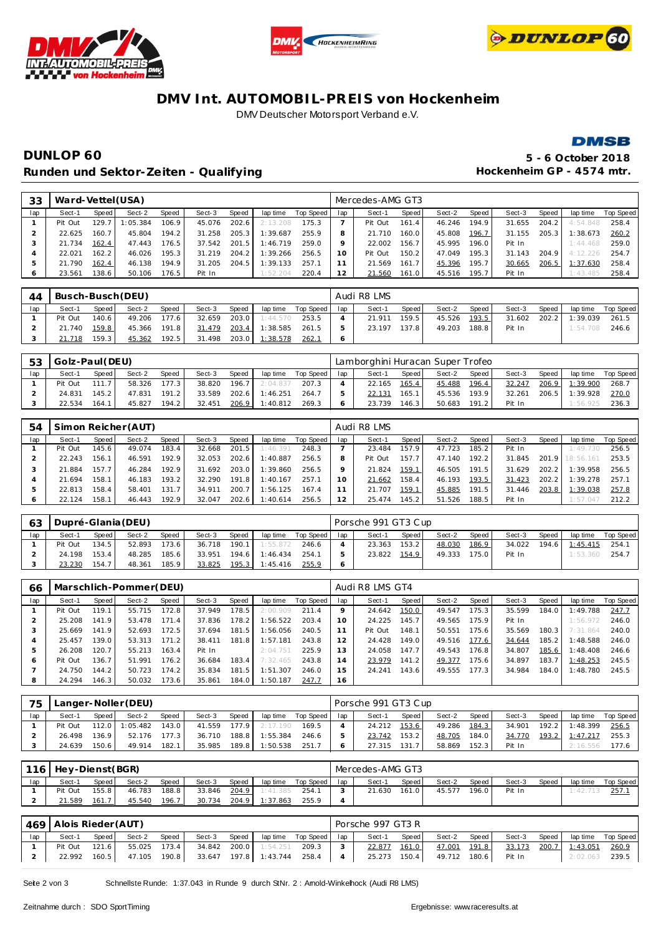





#### **DMV Int. AUTOMOBIL-PREIS von Hockenheim** DMV Deutscher Motorsport Verband e.V.



# **DUNLOP 60 5 - 6 October 2018** Runden und Sektor-Zeiten - Qualifying **Matter and American Control Control Control Control Control Control Control**

| 33            | Ward-Vettel (USA) |       |          |        |        |       |          |           |     | Mercedes-AMG GT3 |                    |        |       |        |       |          |           |
|---------------|-------------------|-------|----------|--------|--------|-------|----------|-----------|-----|------------------|--------------------|--------|-------|--------|-------|----------|-----------|
| lap           | Sect-1            | Speed | Sect-2   | Speed  | Sect-3 | Speed | lap time | Top Speed | lap | Sect-1           | Speed              | Sect-2 | Speed | Sect-3 | Speed | lap time | Top Speed |
|               | Pit Out           | 129.7 | : 05.384 | 106.9  | 45.076 | 202.6 | 2:13.208 | 175.3     |     | Pit Out          | 161.4              | 46.246 | 194.9 | 31.655 | 204.2 | 4:54.848 | 258.4     |
|               | 22.625            | 160.7 | 45.804   | 194.2  | 31.258 | 205.3 | 1:39.687 | 255.9     |     | 21.710           | 160.0              | 45.808 | 196.7 | 31.155 | 205.3 | 1:38.673 | 260.2     |
|               | 21.734            | 162.4 | 47.443   | 176.5  | 37.542 | 201.5 | 1:46.719 | 259.0     |     | 22.002           | 156.7              | 45.995 | 196.0 | Pit In |       | 1:44.468 | 259.0     |
| 4             | 22.021            | 162.2 | 46.026   | 195.3. | 31.219 | 204.2 | 1:39.266 | 256.5     | 10  | Pit Out          | 150.2 <sub>1</sub> | 47.049 | 195.3 | 31.143 | 204.9 | 4:12.226 | 254.7     |
| $\mathcal{D}$ | 21.790            | 162.4 | 46.138   | 194.9  | 31.205 | 204.5 | 1:39.133 | 257.7     | -1  | 21.569           | 161.7              | 45.396 | 195.7 | 30.665 | 206.5 | 1:37.630 | 258.4     |
| $\circ$       | 23.561            | 138.6 | 50.106   | 176.5  | Pit In |       | 1:52.204 | 220.4     | 12  | 21.560           | 161.0              | 45.516 | 195.7 | Pit In |       | 1:43.485 | 258.4     |

| 44  |         | Busch-Busch (DEU)<br>Speed<br>Speed<br>Sect-2<br>Speed  <br>Sect-3<br>140.6<br>177.6<br>49.206<br>203.0<br>32.659 |        |       |              |       |          |                 | Audi R8 LMS |       |        |       |        |       |                       |             |
|-----|---------|-------------------------------------------------------------------------------------------------------------------|--------|-------|--------------|-------|----------|-----------------|-------------|-------|--------|-------|--------|-------|-----------------------|-------------|
| lap | Sect-1  |                                                                                                                   |        |       |              |       | lap time | Top Speed   Iap | Sect-1      | Speed | Sect-2 | Speed | Sect-3 | Speed | lap time              | Top Speed I |
|     | Pit Out |                                                                                                                   |        |       |              |       | 1:44.570 | 253.5           | 21.911      | 159.5 | 45.526 | 193.5 |        |       | 31.602 202.2 1:39.039 | 261.5       |
|     | 21.740  | 159.8                                                                                                             | 45.366 | 191.8 | 31.479       | 203.4 | 1:38.585 | 261.5           | 23.197      | 137.8 | 49.203 | 188.8 | Pit In |       | 1:54.708              | 246.6       |
|     | 21.718  | 159.3                                                                                                             | 45.362 | 192.5 | 31.498 203.0 |       | 1:38.578 | 262.1           |             |       |        |       |        |       |                       |             |

| 53  | Golz-Paul (DEU) |       |        |       |        |        |          |           |     | Lamborghini Huracan Super Trofeo |       |        |         |        |       |          |           |
|-----|-----------------|-------|--------|-------|--------|--------|----------|-----------|-----|----------------------------------|-------|--------|---------|--------|-------|----------|-----------|
| lap | Sect-1          | Speed | Sect-2 | Speed | Sect-3 | Speed. | lap time | Top Speed | lap | Sect-1                           | Speed | Sect-2 | Speed i | Sect-3 | Speed | lap time | Top Speed |
|     | Pit Out         | 1117  | 58.326 | 177.3 | 38.820 | 196.7  | 2:04.837 | 207.3     |     | 22.165                           | 165.4 | 45.488 | 196.4   | 32.247 | 206.9 | 1:39.900 | 268.7     |
|     | 24.831          | 145.2 | 47.831 | 191.2 | 33.589 | 202.6  | 1:46.251 | 264.7     |     | 22.131                           | 165.1 | 45.536 | 193.9   | 32.261 | 206.5 | 1:39.928 | 270.0     |
|     | 22.534          | 164.1 | 45.827 | 194.2 | 32.451 | 206.9  | 1:40.812 | 269.3     |     | 23.739                           | 146.3 | 50.683 | 191.2   | Pit In |       | 1:56.925 | 236.3     |

| .54 | Simon Reicher (AUT) |       |        |        |        |       |          |           |     | Audi R8 LMS |                    |        |       |        |       |           |           |  |  |
|-----|---------------------|-------|--------|--------|--------|-------|----------|-----------|-----|-------------|--------------------|--------|-------|--------|-------|-----------|-----------|--|--|
| lap | Sect-1              | Speed | Sect-2 | Speed  | Sect-3 | Speed | lap time | Top Speed | lap | Sect-1      | Speed              | Sect-2 | Speed | Sect-3 | Speed | lap time  | Top Speed |  |  |
|     | Pit Out             | 145.6 | 49.074 | 183.4  | 32.668 | 201.5 | 1:46.391 | 248.3     |     | 23.484      | 157.9 <sub>1</sub> | 47.723 | 185.2 | Pit In |       | 1:49.730  | 256.5     |  |  |
|     | 22.243              | 156.1 | 46.591 | 192.9  | 32.053 | 202.6 | 1:40.887 | 256.5     |     | Pit Out     | 157.7              | 47.140 | 192.2 | 31.845 | 201.9 | 18:56.161 | 253.5     |  |  |
|     | 21.884              | 157.7 | 46.284 | 192.9  | 31.692 | 203.0 | 1:39.860 | 256.5     |     | 21.824      | 159.1              | 46.505 | 191.5 | 31.629 | 202.2 | 1:39.958  | 256.5     |  |  |
|     | 21.694              | 158.1 | 46.183 | 193.2. | 32.290 | 191.8 | 1:40.167 | 257.1     | 10  | 21.662      | 158.4              | 46.193 | 193.5 | 31.423 | 202.2 | 1:39.278  | 257.1     |  |  |
| ь   | 22.813              | 158.4 | 58.401 | 131.7  | 34.911 | 200.7 | 1:56.125 | 167.4     |     | 21.707      | 159.1              | 45.885 | 191.5 | 31.446 | 203.8 | 1:39.038  | 257.8     |  |  |
|     | 22.124              | 158.1 | 46.443 | 192.9  | 32.047 | 202.6 | 1:40.614 | 256.5     | 2   | 25.474      | 145.2              | 51.526 | 188.5 | Pit In |       | 1:57.047  | 212.2     |  |  |

| 63  | Dupré-Glania (DEU) |       |        |       |        |       |          |           |     | Porsche 991 GT3 Cup |       |        |        |        |       |          |           |  |  |
|-----|--------------------|-------|--------|-------|--------|-------|----------|-----------|-----|---------------------|-------|--------|--------|--------|-------|----------|-----------|--|--|
| lap | Sect-1             | Speed | Sect-2 | Speed | Sect-3 | Speed | lap time | Top Speed | lap | Sect-1              | Speed | Sect-2 | Speed  | Sect-3 | Speed | lap time | Top Speed |  |  |
|     | Pit Out            | 134.5 | 52.893 | 173.6 | 36.718 | 190.1 | 1:55.872 | 246.6     |     | 23.363              | 153.2 | 48.030 | 186.9  | 34.022 | 194.6 | 1:45.415 | 254.7     |  |  |
|     | 24.198             | 153.4 | 48.285 | 185.6 | 33.951 | 194.6 | 1:46.434 | 254.7     |     | 23.822              | 154.9 | 49.333 | 175.01 | Pit In |       | 1:53.360 | 254.7     |  |  |
|     | 23.230             | 154.7 | 48.361 | 185.9 | 33.825 | 195.3 | 1:45.416 | 255.9     |     |                     |       |        |        |        |       |          |           |  |  |

| 66  | Marschlich-Pommer(DEU) |       |        |       |        |       |          |           |                | Audi R8 LMS GT4 |       |        |         |        |       |          |           |  |  |
|-----|------------------------|-------|--------|-------|--------|-------|----------|-----------|----------------|-----------------|-------|--------|---------|--------|-------|----------|-----------|--|--|
| lap | Sect-1                 | Speed | Sect-2 | Speed | Sect-3 | Speed | lap time | Top Speed | lap            | Sect-1          | Speed | Sect-2 | Speed   | Sect-3 | Speed | lap time | Top Speed |  |  |
|     | Pit Out                | 119.1 | 55.715 | 172.8 | 37.949 | 178.5 | 2:00.909 | 211.4     |                | 24.642          | 150.0 | 49.547 | 175.3   | 35.599 | 184.0 | 1:49.788 | 247.7     |  |  |
|     | 25.208                 | 141.9 | 53.478 | 171.4 | 37.836 | 178.2 | 1:56.522 | 203.4     | 10             | 24.225          | 145.7 | 49.565 | 175.9   | Pit In |       | 1:56.972 | 246.0     |  |  |
| ر - | 25.669                 | 141.9 | 52.693 | 172.5 | 37.694 | 181.5 | 1:56.056 | 240.5     |                | Pit Out         | 148.1 | 50.551 | 175.6   | 35.569 | 180.3 | 7:31.864 | 240.0     |  |  |
|     | 25.457                 | 139.0 | 53.313 | 171.2 | 38.411 | 181.8 | 1:57.181 | 243.8     |                | 24.428          | 149.0 | 49.516 | 177.6   | 34.644 | 185.2 | 1:48.588 | 246.0     |  |  |
|     | 26.208                 | 120.7 | 55.213 | 163.4 | Pit In |       | 2:04.751 | 225.9     | 13             | 24.058          | 147.7 | 49.543 | 176.8   | 34.807 | 185.6 | 1:48.408 | 246.6     |  |  |
| 6   | Pit Out                | 136.7 | 51.991 | 176.2 | 36.684 | 183.4 | 7:32.465 | 243.8     | $\overline{4}$ | 23.979          | 141.2 | 49.377 | 175.6 l | 34.897 | 183.7 | 1:48.253 | 245.5     |  |  |
|     | 24.750                 | 144.2 | 50.723 | 174.2 | 35.834 | 181.5 | 1:51.307 | 246.0     | 15             | 24.241          | 143.6 | 49.555 | 177.3   | 34.984 | 184.0 | 1:48.780 | 245.5     |  |  |
| 8   | 24.294                 | 146.3 | 50.032 | 173.6 | 35.861 | 184.0 | 1:50.187 | 247.7     | 16             |                 |       |        |         |        |       |          |           |  |  |

| 75  |         |         | Langer-Noller (DEU) |       |        |        |          |           | Porsche 991 GT3 Cup |        |       |        |         |        |       |          |           |
|-----|---------|---------|---------------------|-------|--------|--------|----------|-----------|---------------------|--------|-------|--------|---------|--------|-------|----------|-----------|
| lap | Sect-1  | Speed I | Sect-2              | Speed | Sect-3 | Speed  | lap time | Top Speed | lap                 | Sect-1 | Speed | Sect-2 | Speed I | Sect-3 | Speed | lap time | Top Speed |
|     | Pit Out | 112.0   | 1:05.482            | 143.0 | 41.559 | 177.91 | 2:17.190 | 169.5     |                     | 24.212 | 153.6 | 49.286 | 184.3   | 34.901 | 192.2 | 1:48.399 | 256.5     |
|     | 26.498  | 136.9   | 52.176              | 177.3 | 36.710 | 188.8  | 1:55.384 | 246.6     |                     | 23.742 | 153.2 | 48.705 | 184.0   | 34.770 | 193.2 | 1:47.217 | 255.3     |
|     | 24.639  | 150.6   | 49.914              | 182.1 | 35.985 | 189.8  | 1:50.538 | 251.7     |                     | 27.315 | 131.  | 58.869 | 152.3   | Pit In |       | 2:16.556 | 177.6     |

| 116 | Hey-Dienst (BGR) |        |        |       |        |       |          |           |     | Mercedes-AMG GT3 |       |        |       |        |       |          |           |  |
|-----|------------------|--------|--------|-------|--------|-------|----------|-----------|-----|------------------|-------|--------|-------|--------|-------|----------|-----------|--|
| lap | Sect-1           | Speed  | Sect-2 | Speed | Sect-3 | Speed | lap time | Top Speed | lap | Sect-1           | Speed | Sect-2 | Speed | Sect-3 | Speed | lap time | Top Speed |  |
|     | Pit Out          | 155.81 | 46.783 | 188.8 | 33.846 | 204.9 | 1:41.385 | 254.1     |     | 21.630           | 161.0 | 45.577 | 196.0 | Pit In |       | : 42.713 | 257.      |  |
|     | 21.589           | 161.7  | 45.540 | 196.7 | 30.734 | 204.9 | 1:37.863 | 255.9     |     |                  |       |        |       |        |       |          |           |  |

|     | 469   Alois Rieder (AUT) |       |        |       |  |  |                       |                                    |                | Porsche 997 GT3 R |       |                           |       |        |  |                                |                   |  |
|-----|--------------------------|-------|--------|-------|--|--|-----------------------|------------------------------------|----------------|-------------------|-------|---------------------------|-------|--------|--|--------------------------------|-------------------|--|
| lap | Sect-1                   | Speed | Sect-2 | Speed |  |  |                       | Sect-3 Speed laptime Top Speed lap |                | Sect-1            | Speed | Sect-2                    | Speed |        |  | Sect-3 Speed laptime Top Speed |                   |  |
|     | Pit Out                  | 121.6 | 55.025 | 173.4 |  |  | 34.842 200.0 1:54.251 | 209.3                              |                | 22.877            | 161.0 | 47.001 191.8              |       |        |  | 33.173 200.7 1:43.051          | $\frac{260.9}{ }$ |  |
|     | 22.992                   | 160.5 | 47.105 | 190.8 |  |  |                       | 33.647 197.8 1:43.744 258.4        | $\overline{4}$ |                   |       | 25.273 150.4 49.712 180.6 |       | Pit In |  | 2:02.063                       | 239.5             |  |

Seite 2 von 3 Schnellste Runde: 1:37.043 in Runde 9 durch StNr. 2 : Amold-Winkelhock (Audi R8 LMS)